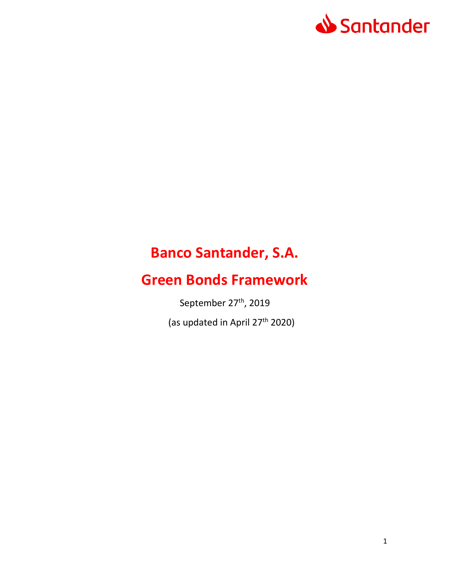

# **Banco Santander, S.A.**

# **Green Bonds Framework**

September 27<sup>th</sup>, 2019

(as updated in April 27<sup>th</sup> 2020)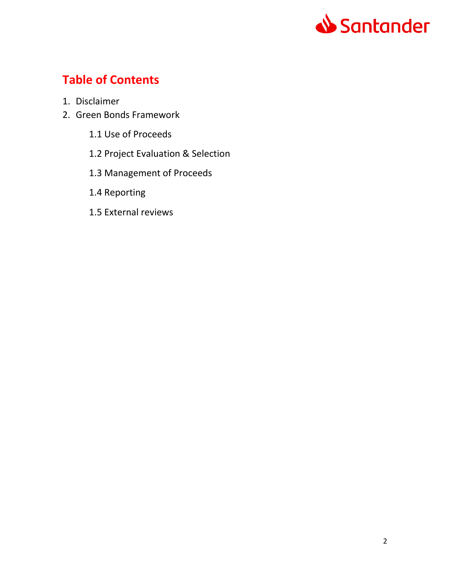

## **Table of Contents**

- 1. Disclaimer
- 2. Green Bonds Framework
	- 1.1 Use of Proceeds
	- 1.2 Project Evaluation & Selection
	- 1.3 Management of Proceeds
	- 1.4 Reporting
	- 1.5 External reviews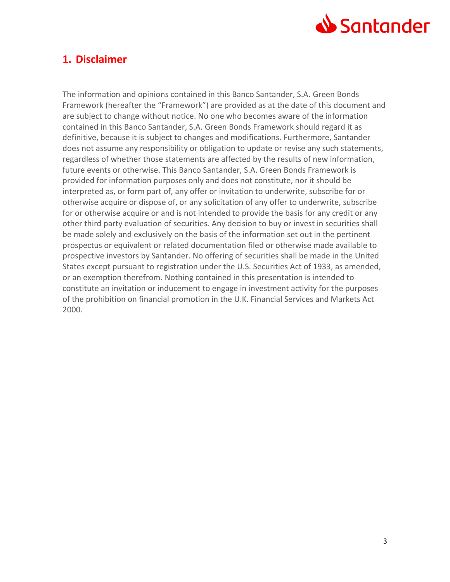

## **1. Disclaimer**

The information and opinions contained in this Banco Santander, S.A. Green Bonds Framework (hereafter the "Framework") are provided as at the date of this document and are subject to change without notice. No one who becomes aware of the information contained in this Banco Santander, S.A. Green Bonds Framework should regard it as definitive, because it is subject to changes and modifications. Furthermore, Santander does not assume any responsibility or obligation to update or revise any such statements, regardless of whether those statements are affected by the results of new information, future events or otherwise. This Banco Santander, S.A. Green Bonds Framework is provided for information purposes only and does not constitute, nor it should be interpreted as, or form part of, any offer or invitation to underwrite, subscribe for or otherwise acquire or dispose of, or any solicitation of any offer to underwrite, subscribe for or otherwise acquire or and is not intended to provide the basis for any credit or any other third party evaluation of securities. Any decision to buy or invest in securities shall be made solely and exclusively on the basis of the information set out in the pertinent prospectus or equivalent or related documentation filed or otherwise made available to prospective investors by Santander. No offering of securities shall be made in the United States except pursuant to registration under the U.S. Securities Act of 1933, as amended, or an exemption therefrom. Nothing contained in this presentation is intended to constitute an invitation or inducement to engage in investment activity for the purposes of the prohibition on financial promotion in the U.K. Financial Services and Markets Act 2000.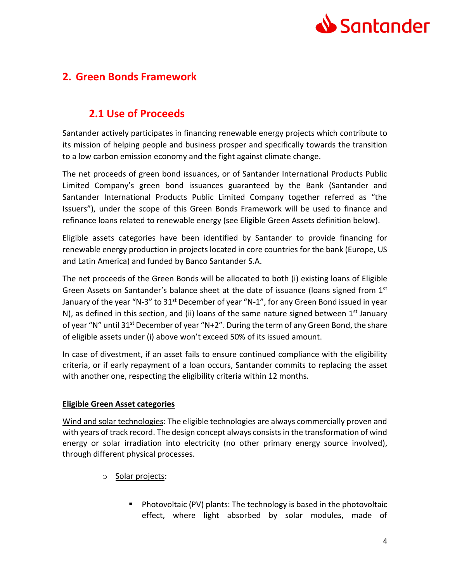

## **2. Green Bonds Framework**

## **2.1 Use of Proceeds**

Santander actively participates in financing renewable energy projects which contribute to its mission of helping people and business prosper and specifically towards the transition to a low carbon emission economy and the fight against climate change.

The net proceeds of green bond issuances, or of Santander International Products Public Limited Company's green bond issuances guaranteed by the Bank (Santander and Santander International Products Public Limited Company together referred as "the Issuers"), under the scope of this Green Bonds Framework will be used to finance and refinance loans related to renewable energy (see Eligible Green Assets definition below).

Eligible assets categories have been identified by Santander to provide financing for renewable energy production in projects located in core countries for the bank (Europe, US and Latin America) and funded by Banco Santander S.A.

The net proceeds of the Green Bonds will be allocated to both (i) existing loans of Eligible Green Assets on Santander's balance sheet at the date of issuance (loans signed from 1<sup>st</sup> January of the year "N-3" to 31<sup>st</sup> December of year "N-1", for any Green Bond issued in year N), as defined in this section, and (ii) loans of the same nature signed between  $1<sup>st</sup>$  January of year "N" until 31<sup>st</sup> December of year "N+2". During the term of any Green Bond, the share of eligible assets under (i) above won't exceed 50% of its issued amount.

In case of divestment, if an asset fails to ensure continued compliance with the eligibility criteria, or if early repayment of a loan occurs, Santander commits to replacing the asset with another one, respecting the eligibility criteria within 12 months.

#### **Eligible Green Asset categories**

Wind and solar technologies: The eligible technologies are always commercially proven and with years of track record. The design concept always consists in the transformation of wind energy or solar irradiation into electricity (no other primary energy source involved), through different physical processes.

- o Solar projects:
	- **Photovoltaic (PV) plants: The technology is based in the photovoltaic** effect, where light absorbed by solar modules, made of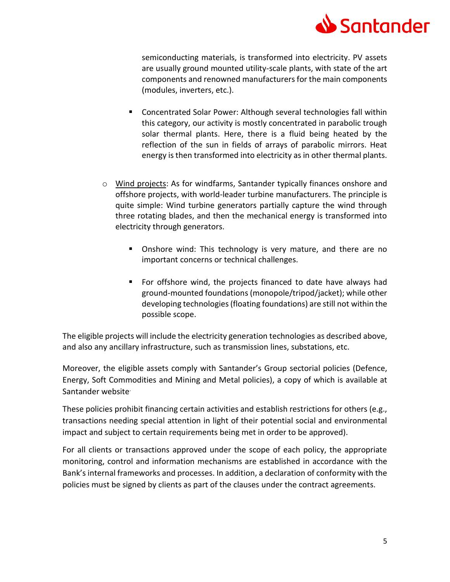

semiconducting materials, is transformed into electricity. PV assets are usually ground mounted utility-scale plants, with state of the art components and renowned manufacturers for the main components (modules, inverters, etc.).

- Concentrated Solar Power: Although several technologies fall within this category, our activity is mostly concentrated in parabolic trough solar thermal plants. Here, there is a fluid being heated by the reflection of the sun in fields of arrays of parabolic mirrors. Heat energy is then transformed into electricity as in other thermal plants.
- o Wind projects: As for windfarms, Santander typically finances onshore and offshore projects, with world-leader turbine manufacturers. The principle is quite simple: Wind turbine generators partially capture the wind through three rotating blades, and then the mechanical energy is transformed into electricity through generators.
	- **Diamage 1** Onshore wind: This technology is very mature, and there are no important concerns or technical challenges.
	- For offshore wind, the projects financed to date have always had ground-mounted foundations (monopole/tripod/jacket); while other developing technologies (floating foundations) are still not within the possible scope.

The eligible projects will include the electricity generation technologies as described above, and also any ancillary infrastructure, such as transmission lines, substations, etc.

Moreover, the eligible assets comply with Santander's Group sectorial policies (Defence, Energy, Soft Commodities and Mining and Metal policies), a copy of which is available at Santander website.

These policies prohibit financing certain activities and establish restrictions for others (e.g., transactions needing special attention in light of their potential social and environmental impact and subject to certain requirements being met in order to be approved).

For all clients or transactions approved under the scope of each policy, the appropriate monitoring, control and information mechanisms are established in accordance with the Bank's internal frameworks and processes. In addition, a declaration of conformity with the policies must be signed by clients as part of the clauses under the contract agreements.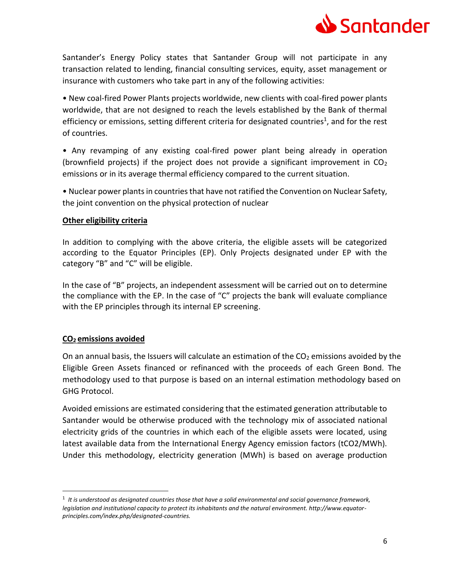

Santander's Energy Policy states that Santander Group will not participate in any transaction related to lending, financial consulting services, equity, asset management or insurance with customers who take part in any of the following activities:

• New coal-fired Power Plants projects worldwide, new clients with coal-fired power plants worldwide, that are not designed to reach the levels established by the Bank of thermal efficiency or emissions, setting different criteria for designated countries<sup>1</sup>, and for the rest of countries.

• Any revamping of any existing coal-fired power plant being already in operation (brownfield projects) if the project does not provide a significant improvement in  $CO<sub>2</sub>$ emissions or in its average thermal efficiency compared to the current situation.

• Nuclear power plants in countries that have not ratified the Convention on Nuclear Safety, the joint convention on the physical protection of nuclear

#### **Other eligibility criteria**

In addition to complying with the above criteria, the eligible assets will be categorized according to the Equator Principles (EP). Only Projects designated under EP with the category "B" and "C" will be eligible.

In the case of "B" projects, an independent assessment will be carried out on to determine the compliance with the EP. In the case of "C" projects the bank will evaluate compliance with the EP principles through its internal EP screening.

#### **CO2 emissions avoided**

 $\overline{a}$ 

On an annual basis, the Issuers will calculate an estimation of the  $CO<sub>2</sub>$  emissions avoided by the Eligible Green Assets financed or refinanced with the proceeds of each Green Bond. The methodology used to that purpose is based on an internal estimation methodology based on GHG Protocol.

Avoided emissions are estimated considering that the estimated generation attributable to Santander would be otherwise produced with the technology mix of associated national electricity grids of the countries in which each of the eligible assets were located, using latest available data from the International Energy Agency emission factors (tCO2/MWh). Under this methodology, electricity generation (MWh) is based on average production

<sup>1</sup> *It is understood as designated countries those that have a solid environmental and social governance framework, legislation and institutional capacity to protect its inhabitants and the natural environment. http://www.equatorprinciples.com/index.php/designated-countries.*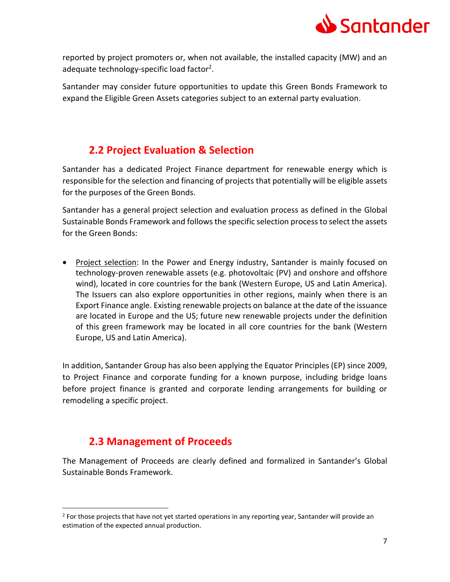

reported by project promoters or, when not available, the installed capacity (MW) and an adequate technology-specific load factor<sup>2</sup>.

Santander may consider future opportunities to update this Green Bonds Framework to expand the Eligible Green Assets categories subject to an external party evaluation.

## **2.2 Project Evaluation & Selection**

Santander has a dedicated Project Finance department for renewable energy which is responsible for the selection and financing of projects that potentially will be eligible assets for the purposes of the Green Bonds.

Santander has a general project selection and evaluation process as defined in the Global Sustainable Bonds Framework and follows the specific selection process to select the assets for the Green Bonds:

• Project selection: In the Power and Energy industry, Santander is mainly focused on technology-proven renewable assets (e.g. photovoltaic (PV) and onshore and offshore wind), located in core countries for the bank (Western Europe, US and Latin America). The Issuers can also explore opportunities in other regions, mainly when there is an Export Finance angle. Existing renewable projects on balance at the date of the issuance are located in Europe and the US; future new renewable projects under the definition of this green framework may be located in all core countries for the bank (Western Europe, US and Latin America).

In addition, Santander Group has also been applying the Equator Principles (EP) since 2009, to Project Finance and corporate funding for a known purpose, including bridge loans before project finance is granted and corporate lending arrangements for building or remodeling a specific project.

## **2.3 Management of Proceeds**

 $\ddot{\phantom{a}}$ 

The Management of Proceeds are clearly defined and formalized in Santander's Global Sustainable Bonds Framework.

<sup>&</sup>lt;sup>2</sup> For those projects that have not yet started operations in any reporting year, Santander will provide an estimation of the expected annual production.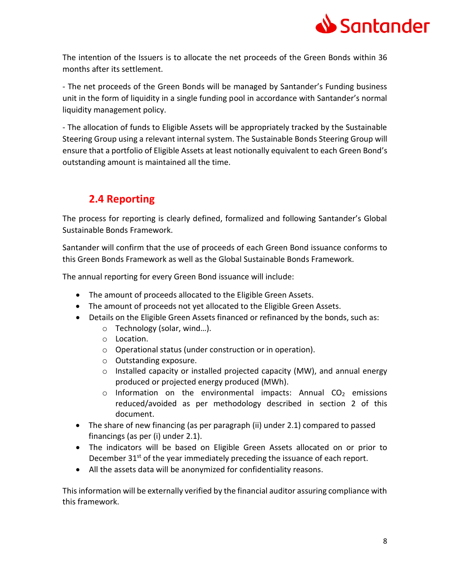

The intention of the Issuers is to allocate the net proceeds of the Green Bonds within 36 months after its settlement.

- The net proceeds of the Green Bonds will be managed by Santander's Funding business unit in the form of liquidity in a single funding pool in accordance with Santander's normal liquidity management policy.

- The allocation of funds to Eligible Assets will be appropriately tracked by the Sustainable Steering Group using a relevant internal system. The Sustainable Bonds Steering Group will ensure that a portfolio of Eligible Assets at least notionally equivalent to each Green Bond's outstanding amount is maintained all the time.

## **2.4 Reporting**

The process for reporting is clearly defined, formalized and following Santander's Global Sustainable Bonds Framework.

Santander will confirm that the use of proceeds of each Green Bond issuance conforms to this Green Bonds Framework as well as the Global Sustainable Bonds Framework.

The annual reporting for every Green Bond issuance will include:

- The amount of proceeds allocated to the Eligible Green Assets.
- The amount of proceeds not yet allocated to the Eligible Green Assets.
- Details on the Eligible Green Assets financed or refinanced by the bonds, such as:
	- o Technology (solar, wind…).
	- o Location.
	- o Operational status (under construction or in operation).
	- o Outstanding exposure.
	- o Installed capacity or installed projected capacity (MW), and annual energy produced or projected energy produced (MWh).
	- $\circ$  Information on the environmental impacts: Annual CO<sub>2</sub> emissions reduced/avoided as per methodology described in section 2 of this document.
- The share of new financing (as per paragraph (ii) under 2.1) compared to passed financings (as per (i) under 2.1).
- The indicators will be based on Eligible Green Assets allocated on or prior to December 31<sup>st</sup> of the year immediately preceding the issuance of each report.
- All the assets data will be anonymized for confidentiality reasons.

This information will be externally verified by the financial auditor assuring compliance with this framework.